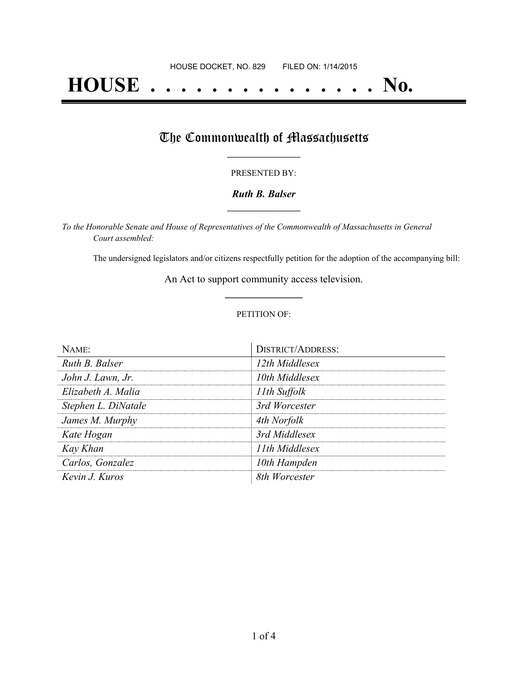# **HOUSE . . . . . . . . . . . . . . . No.**

## The Commonwealth of Massachusetts

#### PRESENTED BY:

#### *Ruth B. Balser* **\_\_\_\_\_\_\_\_\_\_\_\_\_\_\_\_\_**

*To the Honorable Senate and House of Representatives of the Commonwealth of Massachusetts in General Court assembled:*

The undersigned legislators and/or citizens respectfully petition for the adoption of the accompanying bill:

An Act to support community access television. **\_\_\_\_\_\_\_\_\_\_\_\_\_\_\_**

#### PETITION OF:

| $N$ AME:            | <b>DISTRICT/ADDRESS:</b> |
|---------------------|--------------------------|
| Ruth B. Balser      | 12th Middlesex           |
| John J. Lawn, Jr.   | 10th Middlesex           |
| Elizabeth A. Malia  | 11th Suffolk             |
| Stephen L. DiNatale | 3rd Worcester            |
| James M. Murphy     | 4th Norfolk              |
| Kate Hogan          | 3rd Middlesex            |
| Kay Khan            | 11th Middlesex           |
| Carlos, Gonzalez    | 10th Hampden             |
| Kevin J. Kuros      | 8th Worcester            |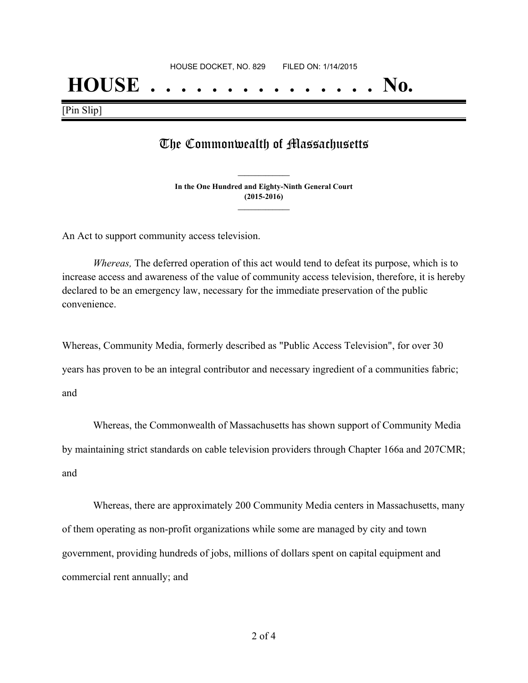## **HOUSE . . . . . . . . . . . . . . . No.**

[Pin Slip]

### The Commonwealth of Massachusetts

**In the One Hundred and Eighty-Ninth General Court (2015-2016) \_\_\_\_\_\_\_\_\_\_\_\_\_\_\_**

**\_\_\_\_\_\_\_\_\_\_\_\_\_\_\_**

An Act to support community access television.

*Whereas,* The deferred operation of this act would tend to defeat its purpose, which is to increase access and awareness of the value of community access television, therefore, it is hereby declared to be an emergency law, necessary for the immediate preservation of the public convenience.

Whereas, Community Media, formerly described as "Public Access Television", for over 30

years has proven to be an integral contributor and necessary ingredient of a communities fabric;

and

Whereas, the Commonwealth of Massachusetts has shown support of Community Media by maintaining strict standards on cable television providers through Chapter 166a and 207CMR; and

Whereas, there are approximately 200 Community Media centers in Massachusetts, many of them operating as non-profit organizations while some are managed by city and town government, providing hundreds of jobs, millions of dollars spent on capital equipment and commercial rent annually; and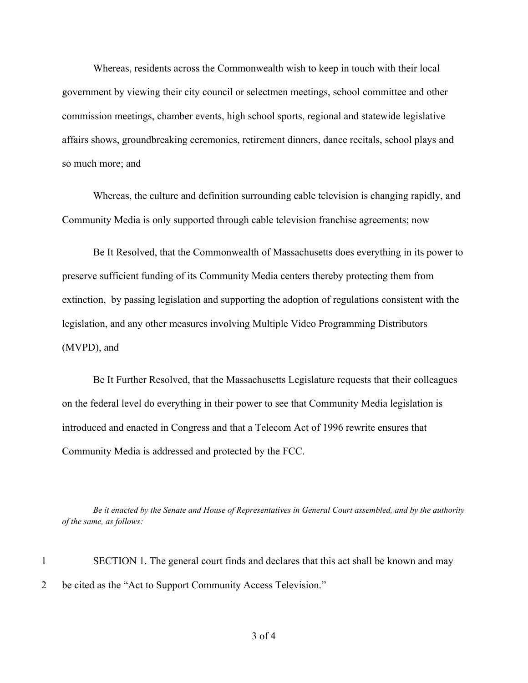Whereas, residents across the Commonwealth wish to keep in touch with their local government by viewing their city council or selectmen meetings, school committee and other commission meetings, chamber events, high school sports, regional and statewide legislative affairs shows, groundbreaking ceremonies, retirement dinners, dance recitals, school plays and so much more; and

Whereas, the culture and definition surrounding cable television is changing rapidly, and Community Media is only supported through cable television franchise agreements; now

Be It Resolved, that the Commonwealth of Massachusetts does everything in its power to preserve sufficient funding of its Community Media centers thereby protecting them from extinction, by passing legislation and supporting the adoption of regulations consistent with the legislation, and any other measures involving Multiple Video Programming Distributors (MVPD), and

Be It Further Resolved, that the Massachusetts Legislature requests that their colleagues on the federal level do everything in their power to see that Community Media legislation is introduced and enacted in Congress and that a Telecom Act of 1996 rewrite ensures that Community Media is addressed and protected by the FCC.

Be it enacted by the Senate and House of Representatives in General Court assembled, and by the authority *of the same, as follows:*

1 SECTION 1. The general court finds and declares that this act shall be known and may 2 be cited as the "Act to Support Community Access Television."